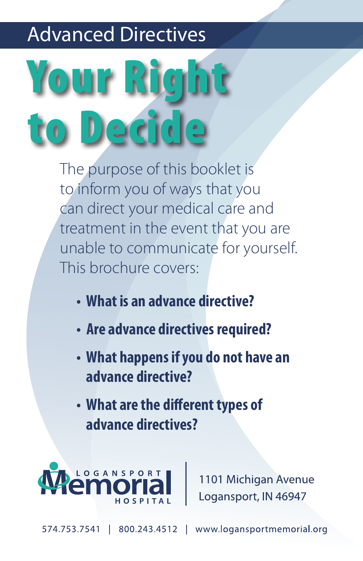# Advanced Directives

# Your Right to Decide

The purpose of this booklet is to inform you of ways that you can direct your medical care and treatment in the event that you are unable to communicate for yourself. This brochure covers:

- **What is an advance directive?**
- **Are advance directives required?**
- **What happens if you do not have an advance directive?**
- **What are the different types of advance directives?**



1101 Michigan Avenue Logansport, IN 46947

www.logansportmemorial.org 574.753.7541 800.243.4512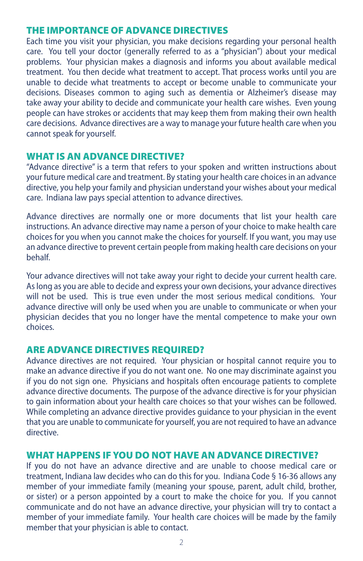#### THE IMPORTANCE OF ADVANCE DIRECTIVES

Each time you visit your physician, you make decisions regarding your personal health care. You tell your doctor (generally referred to as a "physician") about your medical problems. Your physician makes a diagnosis and informs you about available medical treatment. You then decide what treatment to accept. That process works until you are unable to decide what treatments to accept or become unable to communicate your decisions. Diseases common to aging such as dementia or Alzheimer's disease may take away your ability to decide and communicate your health care wishes. Even young people can have strokes or accidents that may keep them from making their own health care decisions. Advance directives are a way to manage your future health care when you cannot speak for yourself.

#### WHAT IS AN ADVANCE DIRECTIVE?

"Advance directive" is a term that refers to your spoken and written instructions about your future medical care and treatment. By stating your health care choices in an advance directive, you help your family and physician understand your wishes about your medical care. Indiana law pays special attention to advance directives.

Advance directives are normally one or more documents that list your health care instructions. An advance directive may name a person of your choice to make health care choices for you when you cannot make the choices for yourself. If you want, you may use an advance directive to prevent certain people from making health care decisions on your behalf.

Your advance directives will not take away your right to decide your current health care. As long as you are able to decide and express your own decisions, your advance directives will not be used. This is true even under the most serious medical conditions. Your advance directive will only be used when you are unable to communicate or when your physician decides that you no longer have the mental competence to make your own choices.

#### ARE ADVANCE DIRECTIVES REQUIRED?

Advance directives are not required. Your physician or hospital cannot require you to make an advance directive if you do not want one. No one may discriminate against you if you do not sign one. Physicians and hospitals often encourage patients to complete advance directive documents. The purpose of the advance directive is for your physician to gain information about your health care choices so that your wishes can be followed. While completing an advance directive provides guidance to your physician in the event that you are unable to communicate for yourself, you are not required to have an advance directive.

#### WHAT HAPPENS IF YOU DO NOT HAVE AN ADVANCE DIRECTIVE?

If you do not have an advance directive and are unable to choose medical care or treatment, Indiana law decides who can do this for you. Indiana Code § 16-36 allows any member of your immediate family (meaning your spouse, parent, adult child, brother, or sister) or a person appointed by a court to make the choice for you. If you cannot communicate and do not have an advance directive, your physician will try to contact a member of your immediate family. Your health care choices will be made by the family member that your physician is able to contact.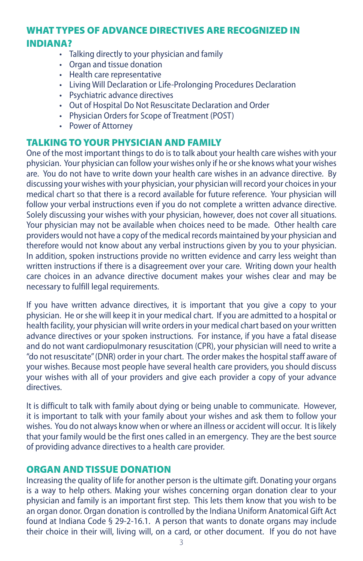# WHAT TYPES OF ADVANCE DIRECTIVES ARE RECOGNIZED IN INDIANA?

- Talking directly to your physician and family
- Organ and tissue donation
- Health care representative
- Living Will Declaration or Life-Prolonging Procedures Declaration
- Psychiatric advance directives
- Out of Hospital Do Not Resuscitate Declaration and Order
- Physician Orders for Scope of Treatment (POST)
- Power of Attorney

#### TALKING TO YOUR PHYSICIAN AND FAMILY

One of the most important things to do is to talk about your health care wishes with your physician. Your physician can follow your wishes only if he or she knows what your wishes are. You do not have to write down your health care wishes in an advance directive. By discussing your wishes with your physician, your physician will record your choices in your medical chart so that there is a record available for future reference. Your physician will follow your verbal instructions even if you do not complete a written advance directive. Solely discussing your wishes with your physician, however, does not cover all situations. Your physician may not be available when choices need to be made. Other health care providers would not have a copy of the medical records maintained by your physician and therefore would not know about any verbal instructions given by you to your physician. In addition, spoken instructions provide no written evidence and carry less weight than written instructions if there is a disagreement over your care. Writing down your health care choices in an advance directive document makes your wishes clear and may be necessary to fulfill legal requirements.

If you have written advance directives, it is important that you give a copy to your physician. He or she will keep it in your medical chart. If you are admitted to a hospital or health facility, your physician will write orders in your medical chart based on your written advance directives or your spoken instructions. For instance, if you have a fatal disease and do not want cardiopulmonary resuscitation (CPR), your physician will need to write a "do not resuscitate" (DNR) order in your chart. The order makes the hospital staff aware of your wishes. Because most people have several health care providers, you should discuss your wishes with all of your providers and give each provider a copy of your advance directives.

It is difficult to talk with family about dying or being unable to communicate. However, it is important to talk with your family about your wishes and ask them to follow your wishes. You do not always know when or where an illness or accident will occur. It is likely that your family would be the first ones called in an emergency. They are the best source of providing advance directives to a health care provider.

#### ORGAN AND TISSUE DONATION

Increasing the quality of life for another person is the ultimate gift. Donating your organs is a way to help others. Making your wishes concerning organ donation clear to your physician and family is an important first step. This lets them know that you wish to be an organ donor. Organ donation is controlled by the Indiana Uniform Anatomical Gift Act found at Indiana Code § 29-2-16.1. A person that wants to donate organs may include their choice in their will, living will, on a card, or other document. If you do not have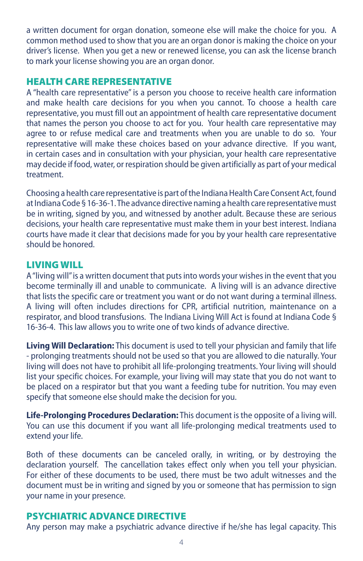a written document for organ donation, someone else will make the choice for you. A common method used to show that you are an organ donor is making the choice on your driver's license. When you get a new or renewed license, you can ask the license branch to mark your license showing you are an organ donor.

## HEALTH CARE REPRESENTATIVE

A "health care representative" is a person you choose to receive health care information and make health care decisions for you when you cannot. To choose a health care representative, you must fill out an appointment of health care representative document that names the person you choose to act for you. Your health care representative may agree to or refuse medical care and treatments when you are unable to do so. Your representative will make these choices based on your advance directive. If you want, in certain cases and in consultation with your physician, your health care representative may decide if food, water, or respiration should be given artificially as part of your medical treatment.

Choosing a health care representative is part of the Indiana Health Care Consent Act, found at Indiana Code § 16-36-1. The advance directive naming a health care representative must be in writing, signed by you, and witnessed by another adult. Because these are serious decisions, your health care representative must make them in your best interest. Indiana courts have made it clear that decisions made for you by your health care representative should be honored.

# LIVING WILL

A "living will" is a written document that puts into words your wishes in the event that you become terminally ill and unable to communicate. A living will is an advance directive that lists the specific care or treatment you want or do not want during a terminal illness. A living will often includes directions for CPR, artificial nutrition, maintenance on a respirator, and blood transfusions. The Indiana Living Will Act is found at Indiana Code § 16-36-4. This law allows you to write one of two kinds of advance directive.

**Living Will Declaration:** This document is used to tell your physician and family that life - prolonging treatments should not be used so that you are allowed to die naturally. Your living will does not have to prohibit all life-prolonging treatments. Your living will should list your specific choices. For example, your living will may state that you do not want to be placed on a respirator but that you want a feeding tube for nutrition. You may even specify that someone else should make the decision for you.

**Life-Prolonging Procedures Declaration:** This document is the opposite of a living will. You can use this document if you want all life-prolonging medical treatments used to extend your life.

Both of these documents can be canceled orally, in writing, or by destroying the declaration yourself. The cancellation takes effect only when you tell your physician. For either of these documents to be used, there must be two adult witnesses and the document must be in writing and signed by you or someone that has permission to sign your name in your presence.

# PSYCHIATRIC ADVANCE DIRECTIVE

Any person may make a psychiatric advance directive if he/she has legal capacity. This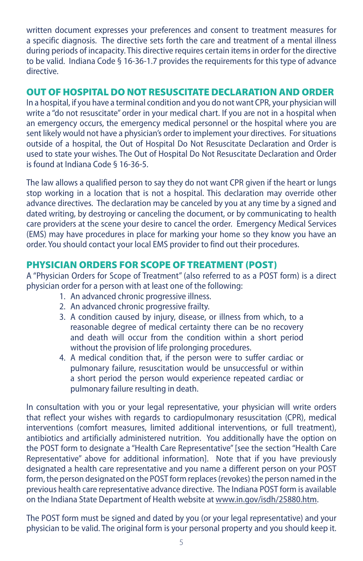written document expresses your preferences and consent to treatment measures for a specific diagnosis. The directive sets forth the care and treatment of a mental illness during periods of incapacity. This directive requires certain items in order for the directive to be valid. Indiana Code § 16-36-1.7 provides the requirements for this type of advance directive.

### OUT OF HOSPITAL DO NOT RESUSCITATE DECLARATION AND ORDER

In a hospital, if you have a terminal condition and you do not want CPR, your physician will write a "do not resuscitate" order in your medical chart. If you are not in a hospital when an emergency occurs, the emergency medical personnel or the hospital where you are sent likely would not have a physician's order to implement your directives. For situations outside of a hospital, the Out of Hospital Do Not Resuscitate Declaration and Order is used to state your wishes. The Out of Hospital Do Not Resuscitate Declaration and Order is found at Indiana Code § 16-36-5.

The law allows a qualified person to say they do not want CPR given if the heart or lungs stop working in a location that is not a hospital. This declaration may override other advance directives. The declaration may be canceled by you at any time by a signed and dated writing, by destroying or canceling the document, or by communicating to health care providers at the scene your desire to cancel the order. Emergency Medical Services (EMS) may have procedures in place for marking your home so they know you have an order. You should contact your local EMS provider to find out their procedures.

# PHYSICIAN ORDERS FOR SCOPE OF TREATMENT (POST)

A "Physician Orders for Scope of Treatment" (also referred to as a POST form) is a direct physician order for a person with at least one of the following:

- 1. An advanced chronic progressive illness.
- 2. An advanced chronic progressive frailty.
- 3. A condition caused by injury, disease, or illness from which, to a reasonable degree of medical certainty there can be no recovery and death will occur from the condition within a short period without the provision of life prolonging procedures.
- 4. A medical condition that, if the person were to suffer cardiac or pulmonary failure, resuscitation would be unsuccessful or within a short period the person would experience repeated cardiac or pulmonary failure resulting in death.

In consultation with you or your legal representative, your physician will write orders that reflect your wishes with regards to cardiopulmonary resuscitation (CPR), medical interventions (comfort measures, limited additional interventions, or full treatment), antibiotics and artificially administered nutrition. You additionally have the option on the POST form to designate a "Health Care Representative" [see the section "Health Care Representative" above for additional information]. Note that if you have previously designated a health care representative and you name a different person on your POST form, the person designated on the POST form replaces (revokes) the person named in the previous health care representative advance directive. The Indiana POST form is available on the Indiana State Department of Health website at www.in.gov/isdh/25880.htm.

The POST form must be signed and dated by you (or your legal representative) and your physician to be valid. The original form is your personal property and you should keep it.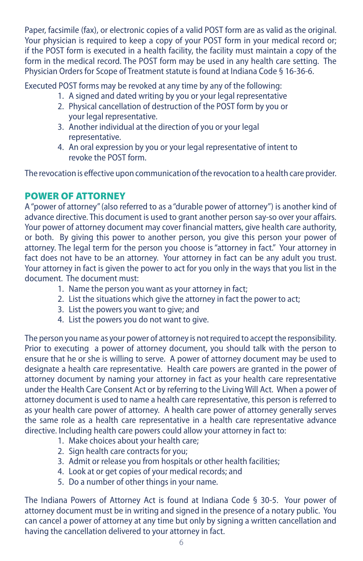Paper, facsimile (fax), or electronic copies of a valid POST form are as valid as the original. Your physician is required to keep a copy of your POST form in your medical record or; if the POST form is executed in a health facility, the facility must maintain a copy of the form in the medical record. The POST form may be used in any health care setting. The Physician Orders for Scope of Treatment statute is found at Indiana Code § 16-36-6.

Executed POST forms may be revoked at any time by any of the following:

- 1. A signed and dated writing by you or your legal representative
- 2. Physical cancellation of destruction of the POST form by you or your legal representative.
- 3. Another individual at the direction of you or your legal representative.
- 4. An oral expression by you or your legal representative of intent to revoke the POST form.

The revocation is effective upon communication of the revocation to a health care provider.

# POWER OF ATTORNEY

A "power of attorney" (also referred to as a "durable power of attorney") is another kind of advance directive. This document is used to grant another person say-so over your affairs. Your power of attorney document may cover financial matters, give health care authority, or both. By giving this power to another person, you give this person your power of attorney. The legal term for the person you choose is "attorney in fact." Your attorney in fact does not have to be an attorney. Your attorney in fact can be any adult you trust. Your attorney in fact is given the power to act for you only in the ways that you list in the document. The document must:

- 1. Name the person you want as your attorney in fact;
- 2. List the situations which give the attorney in fact the power to act;
- 3. List the powers you want to give; and
- 4. List the powers you do not want to give.

The person you name as your power of attorney is not required to accept the responsibility. Prior to executing a power of attorney document, you should talk with the person to ensure that he or she is willing to serve. A power of attorney document may be used to designate a health care representative. Health care powers are granted in the power of attorney document by naming your attorney in fact as your health care representative under the Health Care Consent Act or by referring to the Living Will Act. When a power of attorney document is used to name a health care representative, this person is referred to as your health care power of attorney. A health care power of attorney generally serves the same role as a health care representative in a health care representative advance directive. Including health care powers could allow your attorney in fact to:

- 1. Make choices about your health care;
- 2. Sign health care contracts for you;
- 3. Admit or release you from hospitals or other health facilities;
- 4. Look at or get copies of your medical records; and
- 5. Do a number of other things in your name.

The Indiana Powers of Attorney Act is found at Indiana Code § 30-5. Your power of attorney document must be in writing and signed in the presence of a notary public. You can cancel a power of attorney at any time but only by signing a written cancellation and having the cancellation delivered to your attorney in fact.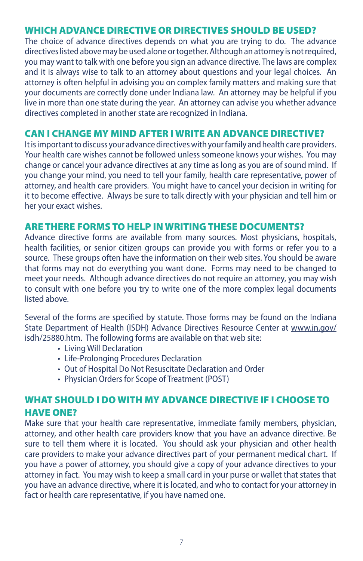# WHICH ADVANCE DIRECTIVE OR DIRECTIVES SHOULD BE USED?

The choice of advance directives depends on what you are trying to do. The advance directives listed above may be used alone or together. Although an attorney is not required, you may want to talk with one before you sign an advance directive. The laws are complex and it is always wise to talk to an attorney about questions and your legal choices. An attorney is often helpful in advising you on complex family matters and making sure that your documents are correctly done under Indiana law. An attorney may be helpful if you live in more than one state during the year. An attorney can advise you whether advance directives completed in another state are recognized in Indiana.

#### CAN I CHANGE MY MIND AFTER I WRITE AN ADVANCE DIRECTIVE?

It is important to discuss your advance directives with your family and health care providers. Your health care wishes cannot be followed unless someone knows your wishes. You may change or cancel your advance directives at any time as long as you are of sound mind. If you change your mind, you need to tell your family, health care representative, power of attorney, and health care providers. You might have to cancel your decision in writing for it to become effective. Always be sure to talk directly with your physician and tell him or her your exact wishes.

#### ARE THERE FORMS TO HELP IN WRITING THESE DOCUMENTS?

Advance directive forms are available from many sources. Most physicians, hospitals, health facilities, or senior citizen groups can provide you with forms or refer you to a source. These groups often have the information on their web sites. You should be aware that forms may not do everything you want done. Forms may need to be changed to meet your needs. Although advance directives do not require an attorney, you may wish to consult with one before you try to write one of the more complex legal documents listed above.

Several of the forms are specified by statute. Those forms may be found on the Indiana State Department of Health (ISDH) Advance Directives Resource Center at www.in.gov/ isdh/25880.htm. The following forms are available on that web site:

- Living Will Declaration
- Life-Prolonging Procedures Declaration
- Out of Hospital Do Not Resuscitate Declaration and Order
- Physician Orders for Scope of Treatment (POST)

# WHAT SHOULD I DO WITH MY ADVANCE DIRECTIVE IF I CHOOSE TO HAVE ONE?

Make sure that your health care representative, immediate family members, physician, attorney, and other health care providers know that you have an advance directive. Be sure to tell them where it is located. You should ask your physician and other health care providers to make your advance directives part of your permanent medical chart. If you have a power of attorney, you should give a copy of your advance directives to your attorney in fact. You may wish to keep a small card in your purse or wallet that states that you have an advance directive, where it is located, and who to contact for your attorney in fact or health care representative, if you have named one.